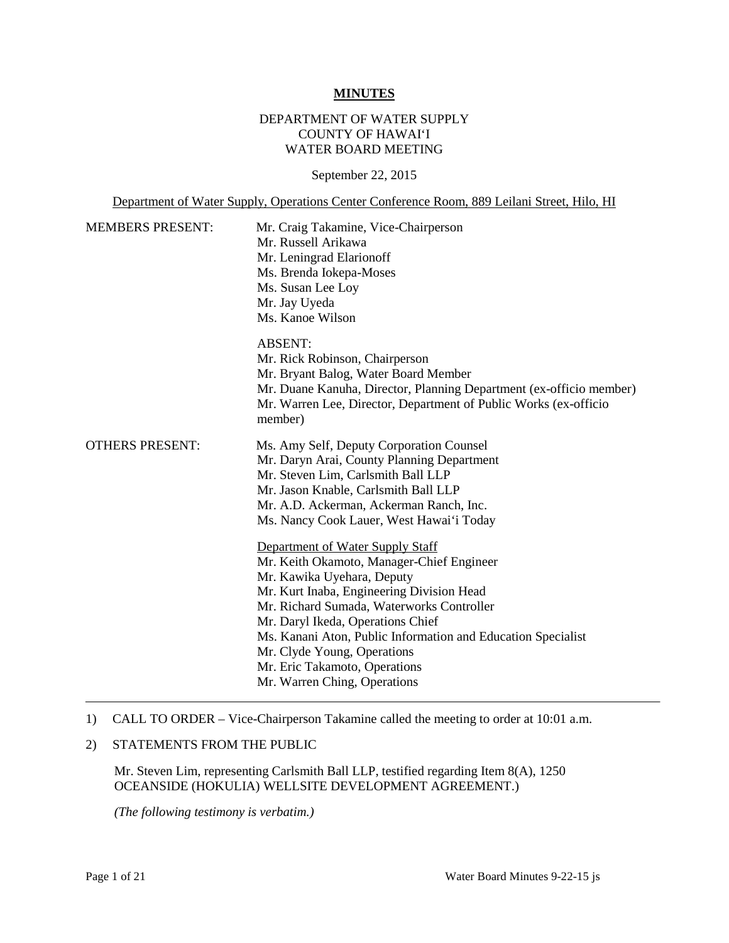#### **MINUTES**

## DEPARTMENT OF WATER SUPPLY COUNTY OF HAWAI'I WATER BOARD MEETING

#### September 22, 2015

Department of Water Supply, Operations Center Conference Room, 889 Leilani Street, Hilo, HI

| <b>MEMBERS PRESENT:</b> | Mr. Craig Takamine, Vice-Chairperson<br>Mr. Russell Arikawa<br>Mr. Leningrad Elarionoff<br>Ms. Brenda Iokepa-Moses<br>Ms. Susan Lee Loy<br>Mr. Jay Uyeda<br>Ms. Kanoe Wilson                                                                                                                                                                                                                                                                                                                              |
|-------------------------|-----------------------------------------------------------------------------------------------------------------------------------------------------------------------------------------------------------------------------------------------------------------------------------------------------------------------------------------------------------------------------------------------------------------------------------------------------------------------------------------------------------|
|                         | <b>ABSENT:</b><br>Mr. Rick Robinson, Chairperson<br>Mr. Bryant Balog, Water Board Member<br>Mr. Duane Kanuha, Director, Planning Department (ex-officio member)<br>Mr. Warren Lee, Director, Department of Public Works (ex-officio<br>member)                                                                                                                                                                                                                                                            |
| <b>OTHERS PRESENT:</b>  | Ms. Amy Self, Deputy Corporation Counsel<br>Mr. Daryn Arai, County Planning Department<br>Mr. Steven Lim, Carlsmith Ball LLP<br>Mr. Jason Knable, Carlsmith Ball LLP<br>Mr. A.D. Ackerman, Ackerman Ranch, Inc.<br>Ms. Nancy Cook Lauer, West Hawai'i Today<br>Department of Water Supply Staff<br>Mr. Keith Okamoto, Manager-Chief Engineer<br>Mr. Kawika Uyehara, Deputy<br>Mr. Kurt Inaba, Engineering Division Head<br>Mr. Richard Sumada, Waterworks Controller<br>Mr. Daryl Ikeda, Operations Chief |
|                         | Ms. Kanani Aton, Public Information and Education Specialist<br>Mr. Clyde Young, Operations<br>Mr. Eric Takamoto, Operations<br>Mr. Warren Ching, Operations                                                                                                                                                                                                                                                                                                                                              |

#### 1) CALL TO ORDER – Vice-Chairperson Takamine called the meeting to order at 10:01 a.m.

## 2) STATEMENTS FROM THE PUBLIC

Mr. Steven Lim, representing Carlsmith Ball LLP, testified regarding Item 8(A), 1250 OCEANSIDE (HOKULIA) WELLSITE DEVELOPMENT AGREEMENT.)

 *(The following testimony is verbatim.)*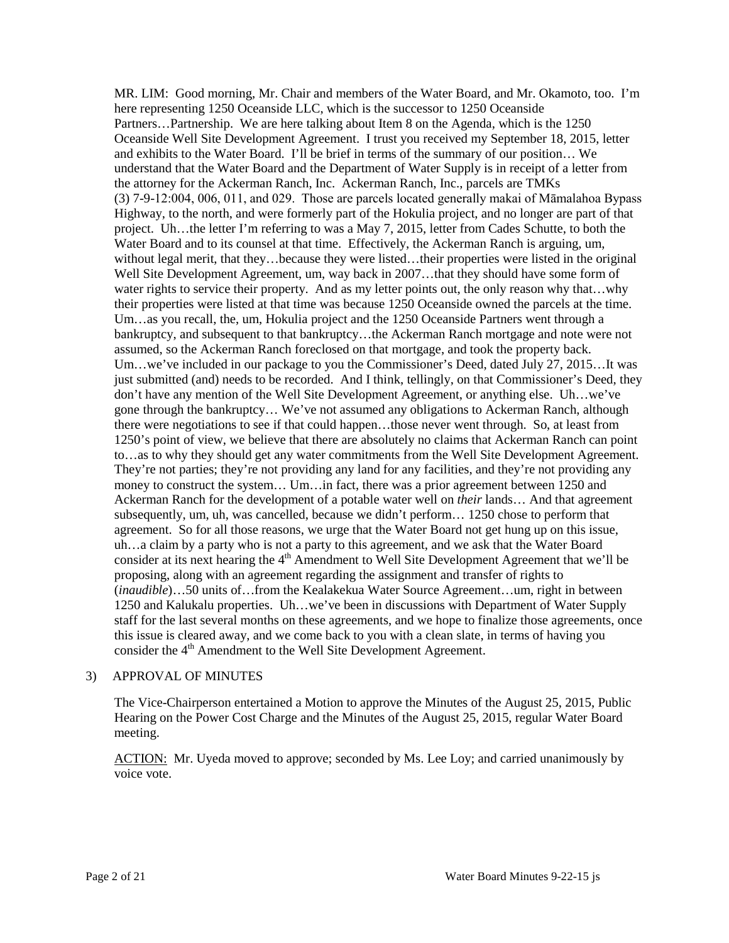MR. LIM: Good morning, Mr. Chair and members of the Water Board, and Mr. Okamoto, too. I'm and exhibits to the Water Board. I'll be brief in terms of the summary of our position… We understand that the Water Board and the Department of Water Supply is in receipt of a letter from the attorney for the Ackerman Ranch, Inc. Ackerman Ranch, Inc., parcels are TMKs Highway, to the north, and were formerly part of the Hokulia project, and no longer are part of that Water Board and to its counsel at that time. Effectively, the Ackerman Ranch is arguing, um, without legal merit, that they…because they were listed…their properties were listed in the original their properties were listed at that time was because 1250 Oceanside owned the parcels at the time. bankruptcy, and subsequent to that bankruptcy…the Ackerman Ranch mortgage and note were not there were negotiations to see if that could happen…those never went through. So, at least from to...as to why they should get any water commitments from the Well Site Development Agreement. to…as to why they should get any water commitments from the Well Site Development Agreement.<br>They're not parties; they're not providing any land for any facilities, and they're not providing any money to construct the system… Um…in fact, there was a prior agreement between 1250 and Ackerman Ranch for the development of a potable water well on *their* lands… And that agreement staff for the last several months on these agreements, and we hope to finalize those agreements, once this issue is cleared away, and we come back to you with a clean slate, in terms of having you here representing 1250 Oceanside LLC, which is the successor to 1250 Oceanside Partners…Partnership. We are here talking about Item 8 on the Agenda, which is the 1250 Oceanside Well Site Development Agreement. I trust you received my September 18, 2015, letter  $(3)$  7-9-12:004, 006, 011, and 029. Those are parcels located generally makai of Māmalahoa Bypass project. Uh…the letter I'm referring to was a May 7, 2015, letter from Cades Schutte, to both the Well Site Development Agreement, um, way back in 2007...that they should have some form of water rights to service their property. And as my letter points out, the only reason why that...why Um…as you recall, the, um, Hokulia project and the 1250 Oceanside Partners went through a assumed, so the Ackerman Ranch foreclosed on that mortgage, and took the property back. Um…we've included in our package to you the Commissioner's Deed, dated July 27, 2015…It was just submitted (and) needs to be recorded. And I think, tellingly, on that Commissioner's Deed, they don't have any mention of the Well Site Development Agreement, or anything else. Uh…we've gone through the bankruptcy… We've not assumed any obligations to Ackerman Ranch, although 1250's point of view, we believe that there are absolutely no claims that Ackerman Ranch can point subsequently, um, uh, was cancelled, because we didn't perform… 1250 chose to perform that agreement. So for all those reasons, we urge that the Water Board not get hung up on this issue, uh…a claim by a party who is not a party to this agreement, and we ask that the Water Board consider at its next hearing the 4<sup>th</sup> Amendment to Well Site Development Agreement that we'll be proposing, along with an agreement regarding the assignment and transfer of rights to (*inaudible*)…50 units of…from the Kealakekua Water Source Agreement…um, right in between 1250 and Kalukalu properties. Uh…we've been in discussions with Department of Water Supply consider the 4<sup>th</sup> Amendment to the Well Site Development Agreement.

## 3) APPROVAL OF MINUTES

 The Vice-Chairperson entertained a Motion to approve the Minutes of the August 25, 2015, Public Hearing on the Power Cost Charge and the Minutes of the August 25, 2015, regular Water Board meeting.

ACTION: Mr. Uyeda moved to approve; seconded by Ms. Lee Loy; and carried unanimously by voice vote.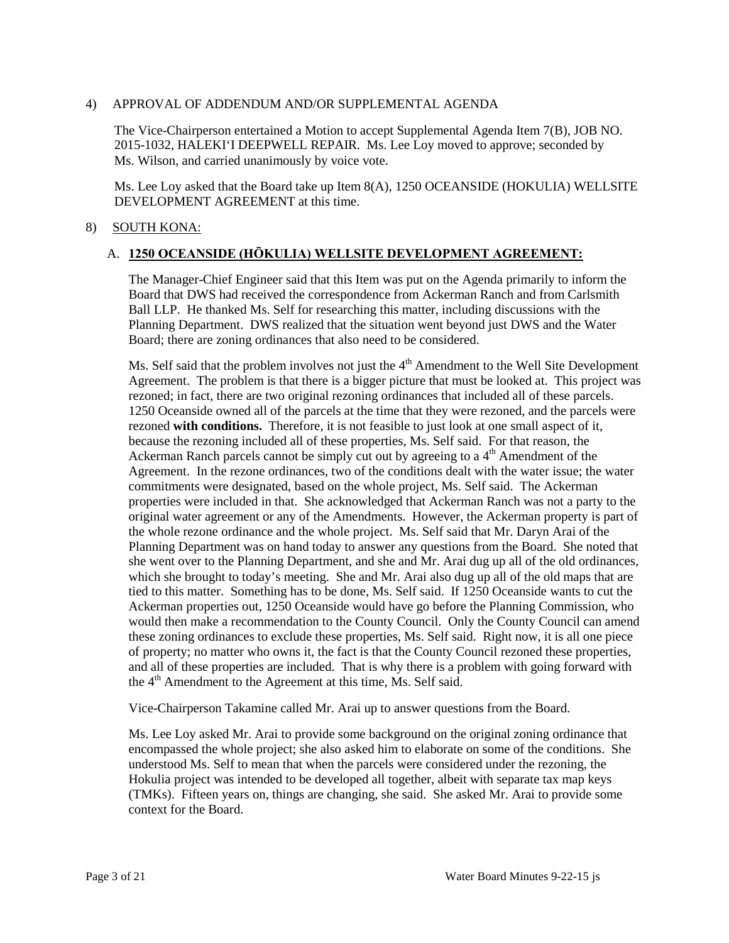## 4) APPROVAL OF ADDENDUM AND/OR SUPPLEMENTAL AGENDA

The Vice-Chairperson entertained a Motion to accept Supplemental Agenda Item 7(B), JOB NO. 2015-1032, HALEKI'I DEEPWELL REPAIR. Ms. Lee Loy moved to approve; seconded by Ms. Wilson, and carried unanimously by voice vote.

 Ms. Lee Loy asked that the Board take up Item 8(A), 1250 OCEANSIDE (HOKULIA) WELLSITE DEVELOPMENT AGREEMENT at this time.

## 8) SOUTH KONA:

## A. **1250 OCEANSIDE (HŌKULIA) WELLSITE DEVELOPMENT AGREEMENT:**

 Ball LLP. He thanked Ms. Self for researching this matter, including discussions with the Planning Department. DWS realized that the situation went beyond just DWS and the Water The Manager-Chief Engineer said that this Item was put on the Agenda primarily to inform the Board that DWS had received the correspondence from Ackerman Ranch and from Carlsmith Board; there are zoning ordinances that also need to be considered.

Ms. Self said that the problem involves not just the  $4<sup>th</sup>$  Amendment to the Well Site Development Agreement. The problem is that there is a bigger picture that must be looked at. This project was 1250 Oceanside owned all of the parcels at the time that they were rezoned, and the parcels were rezoned **with conditions.** Therefore, it is not feasible to just look at one small aspect of it, because the rezoning included all of these properties, Ms. Self said. For that reason, the Ackerman Ranch parcels cannot be simply cut out by agreeing to a 4<sup>th</sup> Amendment of the Agreement. In the rezone ordinances, two of the conditions dealt with the water issue; the water commitments were designated, based on the whole project, Ms. Self said. The Ackerman properties were included in that. She acknowledged that Ackerman Ranch was not a party to the original water agreement or any of the Amendments. However, the Ackerman property is part of the whole rezone ordinance and the whole project. Ms. Self said that Mr. Daryn Arai of the which she brought to today's meeting. She and Mr. Arai also dug up all of the old maps that are tied to this matter. Something has to be done, Ms. Self said. If 1250 Oceanside wants to cut the Ackerman properties out, 1250 Oceanside would have go before the Planning Commission, who these zoning ordinances to exclude these properties, Ms. Self said. Right now, it is all one piece of property; no matter who owns it, the fact is that the County Council rezoned these properties, the 4<sup>th</sup> Amendment to the Agreement at this time, Ms. Self said. rezoned; in fact, there are two original rezoning ordinances that included all of these parcels. Planning Department was on hand today to answer any questions from the Board. She noted that she went over to the Planning Department, and she and Mr. Arai dug up all of the old ordinances, would then make a recommendation to the County Council. Only the County Council can amend and all of these properties are included. That is why there is a problem with going forward with

Vice-Chairperson Takamine called Mr. Arai up to answer questions from the Board.

 Ms. Lee Loy asked Mr. Arai to provide some background on the original zoning ordinance that encompassed the whole project; she also asked him to elaborate on some of the conditions. She understood Ms. Self to mean that when the parcels were considered under the rezoning, the Hokulia project was intended to be developed all together, albeit with separate tax map keys (TMKs). Fifteen years on, things are changing, she said. She asked Mr. Arai to provide some context for the Board.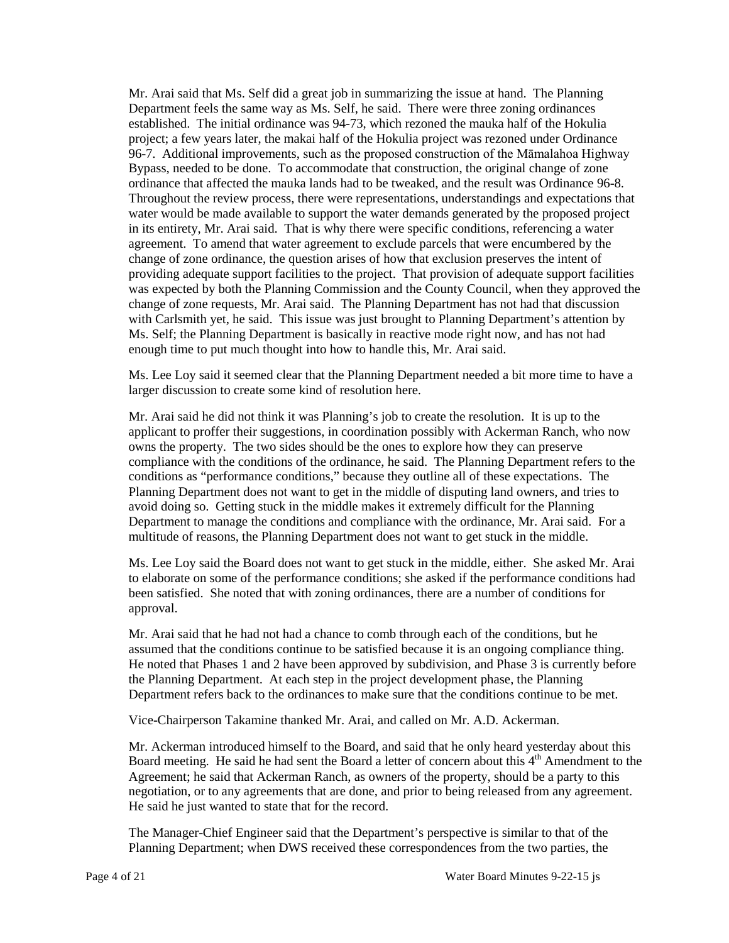Mr. Arai said that Ms. Self did a great job in summarizing the issue at hand. The Planning Department feels the same way as Ms. Self, he said. There were three zoning ordinances established. The initial ordinance was 94-73, which rezoned the mauka half of the Hokulia Bypass, needed to be done. To accommodate that construction, the original change of zone water would be made available to support the water demands generated by the proposed project agreement. To amend that water agreement to exclude parcels that were encumbered by the change of zone ordinance, the question arises of how that exclusion preserves the intent of with Carlsmith yet, he said. This issue was just brought to Planning Department's attention by enough time to put much thought into how to handle this, Mr. Arai said. project; a few years later, the makai half of the Hokulia project was rezoned under Ordinance 96-7. Additional improvements, such as the proposed construction of the Māmalahoa Highway ordinance that affected the mauka lands had to be tweaked, and the result was Ordinance 96-8. Throughout the review process, there were representations, understandings and expectations that in its entirety, Mr. Arai said. That is why there were specific conditions, referencing a water providing adequate support facilities to the project. That provision of adequate support facilities was expected by both the Planning Commission and the County Council, when they approved the change of zone requests, Mr. Arai said. The Planning Department has not had that discussion Ms. Self; the Planning Department is basically in reactive mode right now, and has not had

 larger discussion to create some kind of resolution here. Ms. Lee Loy said it seemed clear that the Planning Department needed a bit more time to have a

 Mr. Arai said he did not think it was Planning's job to create the resolution. It is up to the applicant to proffer their suggestions, in coordination possibly with Ackerman Ranch, who now owns the property. The two sides should be the ones to explore how they can preserve compliance with the conditions of the ordinance, he said. The Planning Department refers to the conditions as "performance conditions," because they outline all of these expectations. The avoid doing so. Getting stuck in the middle makes it extremely difficult for the Planning multitude of reasons, the Planning Department does not want to get stuck in the middle. Planning Department does not want to get in the middle of disputing land owners, and tries to Department to manage the conditions and compliance with the ordinance, Mr. Arai said. For a

 been satisfied. She noted that with zoning ordinances, there are a number of conditions for Ms. Lee Loy said the Board does not want to get stuck in the middle, either. She asked Mr. Arai to elaborate on some of the performance conditions; she asked if the performance conditions had approval.

 Mr. Arai said that he had not had a chance to comb through each of the conditions, but he assumed that the conditions continue to be satisfied because it is an ongoing compliance thing. the Planning Department. At each step in the project development phase, the Planning He noted that Phases 1 and 2 have been approved by subdivision, and Phase 3 is currently before Department refers back to the ordinances to make sure that the conditions continue to be met.

Vice-Chairperson Takamine thanked Mr. Arai, and called on Mr. A.D. Ackerman.

Board meeting. He said he had sent the Board a letter of concern about this 4<sup>th</sup> Amendment to the Agreement; he said that Ackerman Ranch, as owners of the property, should be a party to this negotiation, or to any agreements that are done, and prior to being released from any agreement. He said he just wanted to state that for the record. He said he just wanted to state that for the record. Mr. Ackerman introduced himself to the Board, and said that he only heard yesterday about this

 The Manager-Chief Engineer said that the Department's perspective is similar to that of the Planning Department; when DWS received these correspondences from the two parties, the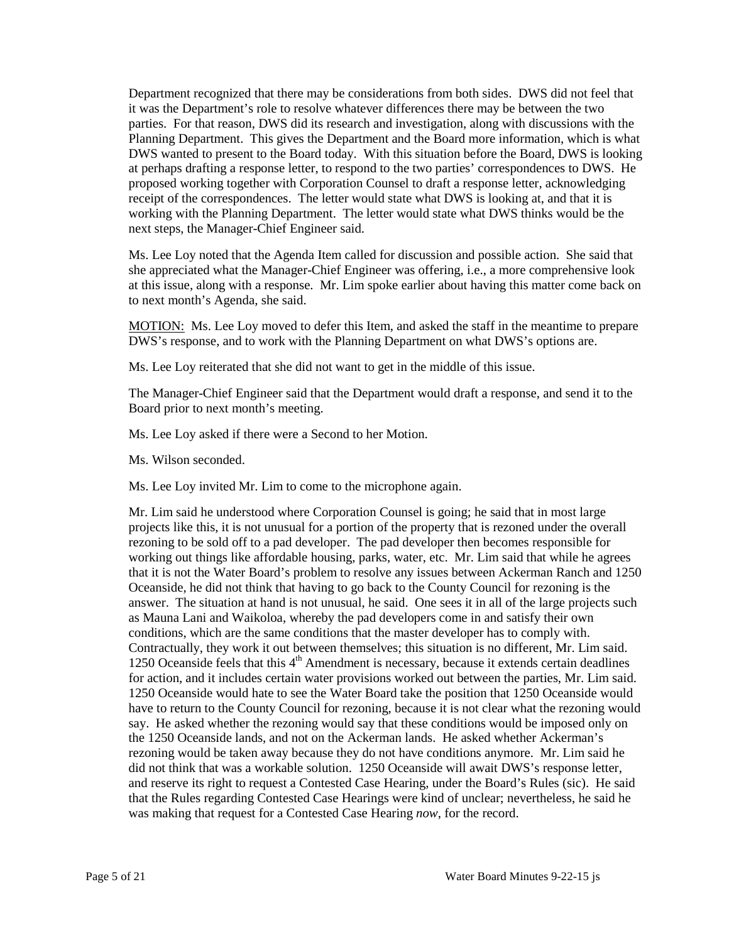Department recognized that there may be considerations from both sides. DWS did not feel that DWS wanted to present to the Board today. With this situation before the Board, DWS is looking at perhaps drafting a response letter, to respond to the two parties' correspondences to DWS. He proposed working together with Corporation Counsel to draft a response letter, acknowledging receipt of the correspondences. The letter would state what DWS is looking at, and that it is working with the Planning Department. The letter would state what DWS thinks would be the it was the Department's role to resolve whatever differences there may be between the two parties. For that reason, DWS did its research and investigation, along with discussions with the Planning Department. This gives the Department and the Board more information, which is what next steps, the Manager-Chief Engineer said.

 Ms. Lee Loy noted that the Agenda Item called for discussion and possible action. She said that she appreciated what the Manager-Chief Engineer was offering, i.e., a more comprehensive look at this issue, along with a response. Mr. Lim spoke earlier about having this matter come back on to next month's Agenda, she said.

MOTION: Ms. Lee Loy moved to defer this Item, and asked the staff in the meantime to prepare DWS's response, and to work with the Planning Department on what DWS's options are.

Ms. Lee Loy reiterated that she did not want to get in the middle of this issue.

 The Manager-Chief Engineer said that the Department would draft a response, and send it to the Board prior to next month's meeting.

Ms. Lee Loy asked if there were a Second to her Motion.

Ms. Wilson seconded.

Ms. Lee Loy invited Mr. Lim to come to the microphone again.

 Mr. Lim said he understood where Corporation Counsel is going; he said that in most large projects like this, it is not unusual for a portion of the property that is rezoned under the overall rezoning to be sold off to a pad developer. The pad developer then becomes responsible for Oceanside, he did not think that having to go back to the County Council for rezoning is the answer. The situation at hand is not unusual, he said. One sees it in all of the large projects such as Mauna Lani and Waikoloa, whereby the pad developers come in and satisfy their own conditions, which are the same conditions that the master developer has to comply with. 1250 Oceanside feels that this  $4<sup>th</sup>$  Amendment is necessary, because it extends certain deadlines have to return to the County Council for rezoning, because it is not clear what the rezoning would say. He asked whether the rezoning would say that these conditions would be imposed only on and reserve its right to request a Contested Case Hearing, under the Board's Rules (sic). He said working out things like affordable housing, parks, water, etc. Mr. Lim said that while he agrees that it is not the Water Board's problem to resolve any issues between Ackerman Ranch and 1250 Contractually, they work it out between themselves; this situation is no different, Mr. Lim said. for action, and it includes certain water provisions worked out between the parties, Mr. Lim said. 1250 Oceanside would hate to see the Water Board take the position that 1250 Oceanside would the 1250 Oceanside lands, and not on the Ackerman lands. He asked whether Ackerman's rezoning would be taken away because they do not have conditions anymore. Mr. Lim said he did not think that was a workable solution. 1250 Oceanside will await DWS's response letter, that the Rules regarding Contested Case Hearings were kind of unclear; nevertheless, he said he was making that request for a Contested Case Hearing *now*, for the record.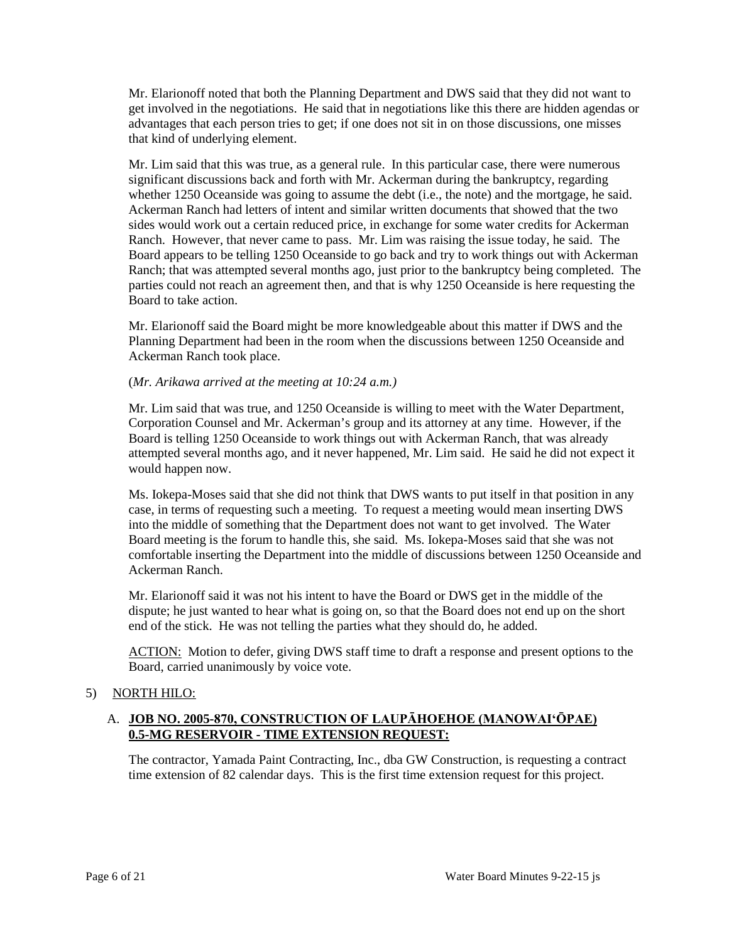get involved in the negotiations. He said that in negotiations like this there are hidden agendas or advantages that each person tries to get; if one does not sit in on those discussions, one misses Mr. Elarionoff noted that both the Planning Department and DWS said that they did not want to that kind of underlying element.

 Ackerman Ranch had letters of intent and similar written documents that showed that the two sides would work out a certain reduced price, in exchange for some water credits for Ackerman Ranch. However, that never came to pass. Mr. Lim was raising the issue today, he said. The Mr. Lim said that this was true, as a general rule. In this particular case, there were numerous significant discussions back and forth with Mr. Ackerman during the bankruptcy, regarding whether 1250 Oceanside was going to assume the debt (i.e., the note) and the mortgage, he said. Board appears to be telling 1250 Oceanside to go back and try to work things out with Ackerman Ranch; that was attempted several months ago, just prior to the bankruptcy being completed. The parties could not reach an agreement then, and that is why 1250 Oceanside is here requesting the Board to take action.

Mr. Elarionoff said the Board might be more knowledgeable about this matter if DWS and the Planning Department had been in the room when the discussions between 1250 Oceanside and Ackerman Ranch took place.

## (*Mr. Arikawa arrived at the meeting at 10:24 a.m.)*

 Mr. Lim said that was true, and 1250 Oceanside is willing to meet with the Water Department, Corporation Counsel and Mr. Ackerman's group and its attorney at any time. However, if the attempted several months ago, and it never happened, Mr. Lim said. He said he did not expect it Board is telling 1250 Oceanside to work things out with Ackerman Ranch, that was already would happen now.

 Ms. Iokepa-Moses said that she did not think that DWS wants to put itself in that position in any Board meeting is the forum to handle this, she said. Ms. Iokepa-Moses said that she was not case, in terms of requesting such a meeting. To request a meeting would mean inserting DWS into the middle of something that the Department does not want to get involved. The Water comfortable inserting the Department into the middle of discussions between 1250 Oceanside and Ackerman Ranch.

 Mr. Elarionoff said it was not his intent to have the Board or DWS get in the middle of the dispute; he just wanted to hear what is going on, so that the Board does not end up on the short end of the stick. He was not telling the parties what they should do, he added.

ACTION: Motion to defer, giving DWS staff time to draft a response and present options to the Board, carried unanimously by voice vote.

# 5) NORTH HILO:

# A. **JOB NO. 2005-870, CONSTRUCTION OF LAUPĀHOEHOE (MANOWAI'ŌPAE) 0.5-MG RESERVOIR - TIME EXTENSION REQUEST:**

The contractor, Yamada Paint Contracting, Inc., dba GW Construction, is requesting a contract time extension of 82 calendar days. This is the first time extension request for this project.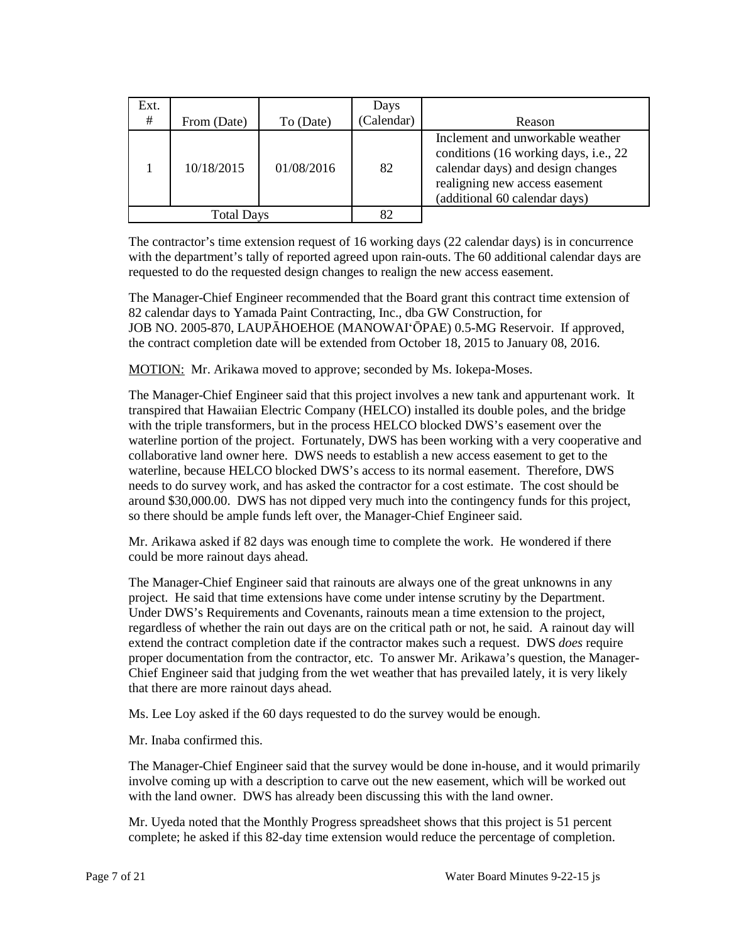| Ext.<br>#         | From (Date) | To (Date)  | Days<br>(Calendar) | Reason                                                                                                                                                                            |
|-------------------|-------------|------------|--------------------|-----------------------------------------------------------------------------------------------------------------------------------------------------------------------------------|
|                   | 10/18/2015  | 01/08/2016 | 82                 | Inclement and unworkable weather<br>conditions (16 working days, i.e., 22<br>calendar days) and design changes<br>realigning new access easement<br>(additional 60 calendar days) |
| <b>Total Days</b> |             |            |                    |                                                                                                                                                                                   |

 with the department's tally of reported agreed upon rain-outs. The 60 additional calendar days are The contractor's time extension request of 16 working days (22 calendar days) is in concurrence requested to do the requested design changes to realign the new access easement.

 JOB NO. 2005-870, LAUPĀHOEHOE (MANOWAI'ŌPAE) 0.5-MG Reservoir. If approved, The Manager-Chief Engineer recommended that the Board grant this contract time extension of 82 calendar days to Yamada Paint Contracting, Inc., dba GW Construction, for the contract completion date will be extended from October 18, 2015 to January 08, 2016.

MOTION: Mr. Arikawa moved to approve; seconded by Ms. Iokepa-Moses.

 waterline, because HELCO blocked DWS's access to its normal easement. Therefore, DWS needs to do survey work, and has asked the contractor for a cost estimate. The cost should be around \$30,000.00. DWS has not dipped very much into the contingency funds for this project, The Manager-Chief Engineer said that this project involves a new tank and appurtenant work. It transpired that Hawaiian Electric Company (HELCO) installed its double poles, and the bridge with the triple transformers, but in the process HELCO blocked DWS's easement over the waterline portion of the project. Fortunately, DWS has been working with a very cooperative and collaborative land owner here. DWS needs to establish a new access easement to get to the so there should be ample funds left over, the Manager-Chief Engineer said.

Mr. Arikawa asked if 82 days was enough time to complete the work. He wondered if there could be more rainout days ahead.

 project. He said that time extensions have come under intense scrutiny by the Department. extend the contract completion date if the contractor makes such a request. DWS *does* require The Manager-Chief Engineer said that rainouts are always one of the great unknowns in any Under DWS's Requirements and Covenants, rainouts mean a time extension to the project, regardless of whether the rain out days are on the critical path or not, he said. A rainout day will proper documentation from the contractor, etc. To answer Mr. Arikawa's question, the Manager-Chief Engineer said that judging from the wet weather that has prevailed lately, it is very likely that there are more rainout days ahead.

Ms. Lee Loy asked if the 60 days requested to do the survey would be enough.

Mr. Inaba confirmed this.

 with the land owner. DWS has already been discussing this with the land owner. The Manager-Chief Engineer said that the survey would be done in-house, and it would primarily involve coming up with a description to carve out the new easement, which will be worked out

 Mr. Uyeda noted that the Monthly Progress spreadsheet shows that this project is 51 percent complete; he asked if this 82-day time extension would reduce the percentage of completion.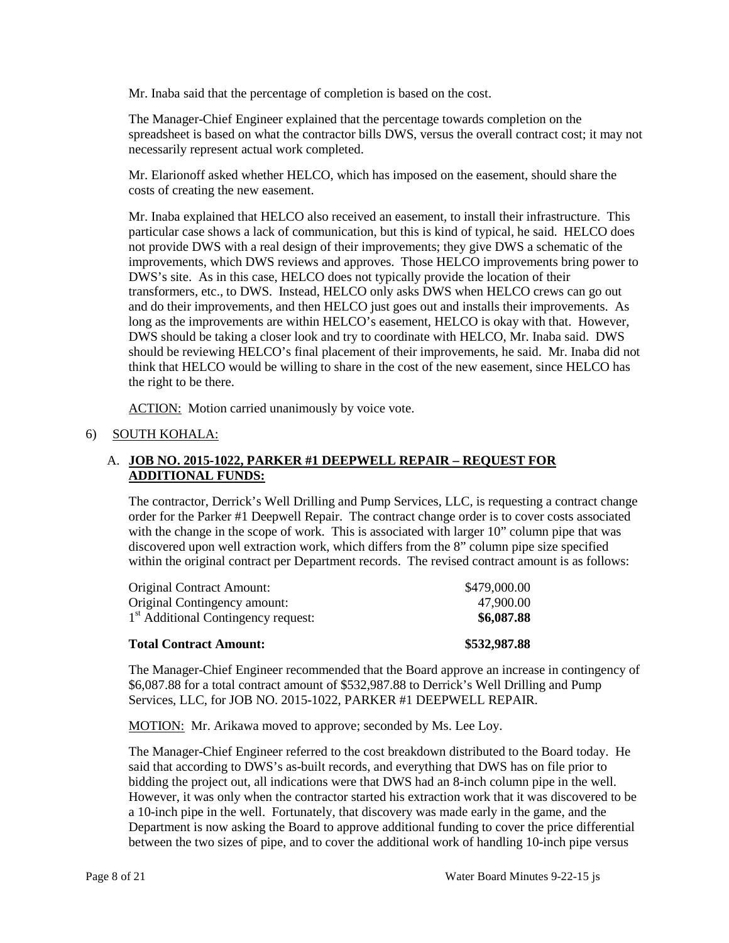Mr. Inaba said that the percentage of completion is based on the cost.

 spreadsheet is based on what the contractor bills DWS, versus the overall contract cost; it may not The Manager-Chief Engineer explained that the percentage towards completion on the necessarily represent actual work completed.

 Mr. Elarionoff asked whether HELCO, which has imposed on the easement, should share the costs of creating the new easement.

 Mr. Inaba explained that HELCO also received an easement, to install their infrastructure. This particular case shows a lack of communication, but this is kind of typical, he said. HELCO does not provide DWS with a real design of their improvements; they give DWS a schematic of the and do their improvements, and then HELCO just goes out and installs their improvements. As think that HELCO would be willing to share in the cost of the new easement, since HELCO has improvements, which DWS reviews and approves. Those HELCO improvements bring power to DWS's site. As in this case, HELCO does not typically provide the location of their transformers, etc., to DWS. Instead, HELCO only asks DWS when HELCO crews can go out long as the improvements are within HELCO's easement, HELCO is okay with that. However, DWS should be taking a closer look and try to coordinate with HELCO, Mr. Inaba said. DWS should be reviewing HELCO's final placement of their improvements, he said. Mr. Inaba did not the right to be there.

ACTION: Motion carried unanimously by voice vote.

## 6) SOUTH KOHALA:

## A. **JOB NO. 2015-1022, PARKER #1 DEEPWELL REPAIR – REQUEST FOR ADDITIONAL FUNDS:**

 order for the Parker #1 Deepwell Repair. The contract change order is to cover costs associated within the original contract per Department records. The revised contract amount is as follows: The contractor, Derrick's Well Drilling and Pump Services, LLC, is requesting a contract change with the change in the scope of work. This is associated with larger 10" column pipe that was discovered upon well extraction work, which differs from the 8" column pipe size specified

| <b>Original Contract Amount:</b>                | \$479,000.00 |
|-------------------------------------------------|--------------|
| Original Contingency amount:                    | 47.900.00    |
| 1 <sup>st</sup> Additional Contingency request: | \$6,087.88   |
|                                                 |              |

#### **Total Contract Amount: \$532,987.88**

 The Manager-Chief Engineer recommended that the Board approve an increase in contingency of \$6,087.88 for a total contract amount of \$532,987.88 to Derrick's Well Drilling and Pump Services, LLC, for JOB NO. 2015-1022, PARKER #1 DEEPWELL REPAIR.

MOTION: Mr. Arikawa moved to approve; seconded by Ms. Lee Loy.

 bidding the project out, all indications were that DWS had an 8-inch column pipe in the well. a 10-inch pipe in the well. Fortunately, that discovery was made early in the game, and the Department is now asking the Board to approve additional funding to cover the price differential The Manager-Chief Engineer referred to the cost breakdown distributed to the Board today. He said that according to DWS's as-built records, and everything that DWS has on file prior to However, it was only when the contractor started his extraction work that it was discovered to be between the two sizes of pipe, and to cover the additional work of handling 10-inch pipe versus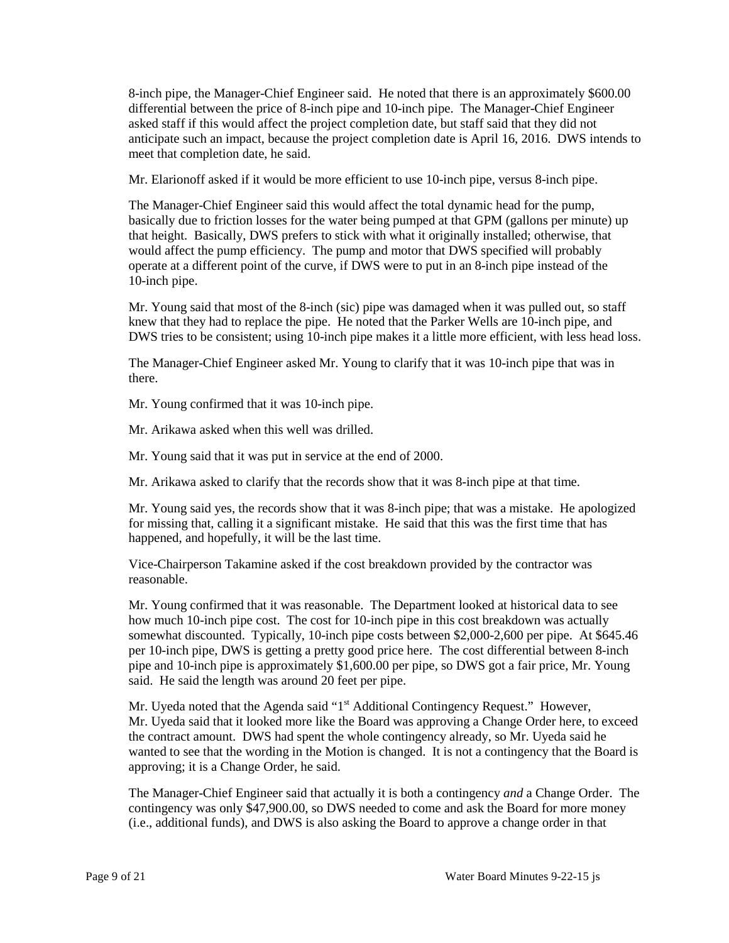differential between the price of 8-inch pipe and 10-inch pipe. The Manager-Chief Engineer anticipate such an impact, because the project completion date is April 16, 2016. DWS intends to 8-inch pipe, the Manager-Chief Engineer said. He noted that there is an approximately \$600.00 asked staff if this would affect the project completion date, but staff said that they did not meet that completion date, he said.

Mr. Elarionoff asked if it would be more efficient to use 10-inch pipe, versus 8-inch pipe.

 basically due to friction losses for the water being pumped at that GPM (gallons per minute) up would affect the pump efficiency. The pump and motor that DWS specified will probably operate at a different point of the curve, if DWS were to put in an 8-inch pipe instead of the The Manager-Chief Engineer said this would affect the total dynamic head for the pump, that height. Basically, DWS prefers to stick with what it originally installed; otherwise, that 10-inch pipe.

 knew that they had to replace the pipe. He noted that the Parker Wells are 10-inch pipe, and Mr. Young said that most of the 8-inch (sic) pipe was damaged when it was pulled out, so staff DWS tries to be consistent; using 10-inch pipe makes it a little more efficient, with less head loss.

The Manager-Chief Engineer asked Mr. Young to clarify that it was 10-inch pipe that was in there.

Mr. Young confirmed that it was 10-inch pipe.

Mr. Arikawa asked when this well was drilled.

Mr. Young said that it was put in service at the end of 2000.

Mr. Arikawa asked to clarify that the records show that it was 8-inch pipe at that time.

 Mr. Young said yes, the records show that it was 8-inch pipe; that was a mistake. He apologized for missing that, calling it a significant mistake. He said that this was the first time that has happened, and hopefully, it will be the last time.

Vice-Chairperson Takamine asked if the cost breakdown provided by the contractor was reasonable.

 Mr. Young confirmed that it was reasonable. The Department looked at historical data to see per 10-inch pipe, DWS is getting a pretty good price here. The cost differential between 8-inch pipe and 10-inch pipe is approximately \$1,600.00 per pipe, so DWS got a fair price, Mr. Young how much 10-inch pipe cost. The cost for 10-inch pipe in this cost breakdown was actually somewhat discounted. Typically, 10-inch pipe costs between \$2,000-2,600 per pipe. At \$645.46 said. He said the length was around 20 feet per pipe.

Mr. Uyeda noted that the Agenda said "1<sup>st</sup> Additional Contingency Request." However, Mr. Uyeda said that it looked more like the Board was approving a Change Order here, to exceed the contract amount. DWS had spent the whole contingency already, so Mr. Uyeda said he wanted to see that the wording in the Motion is changed. It is not a contingency that the Board is approving; it is a Change Order, he said.

 contingency was only \$47,900.00, so DWS needed to come and ask the Board for more money The Manager-Chief Engineer said that actually it is both a contingency *and* a Change Order. The (i.e., additional funds), and DWS is also asking the Board to approve a change order in that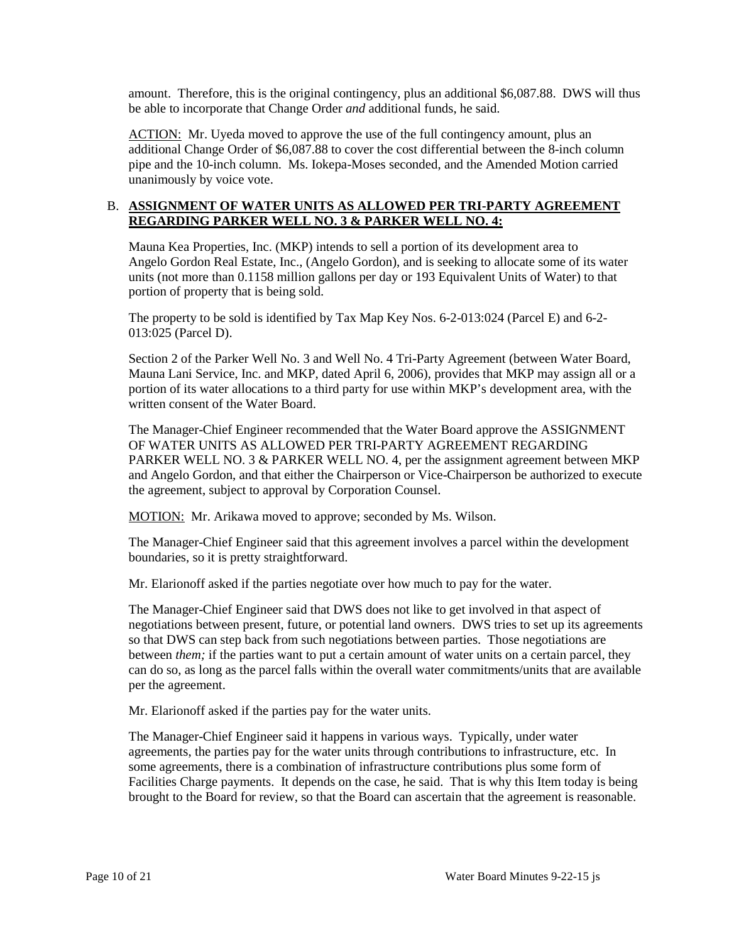be able to incorporate that Change Order *and* additional funds, he said. amount. Therefore, this is the original contingency, plus an additional \$6,087.88. DWS will thus

ACTION: Mr. Uyeda moved to approve the use of the full contingency amount, plus an additional Change Order of \$6,087.88 to cover the cost differential between the 8-inch column pipe and the 10-inch column. Ms. Iokepa-Moses seconded, and the Amended Motion carried unanimously by voice vote.

## **REGARDING PARKER WELL NO. 3 & PARKER WELL NO. 4:**  B. **ASSIGNMENT OF WATER UNITS AS ALLOWED PER TRI-PARTY AGREEMENT**

 Mauna Kea Properties, Inc. (MKP) intends to sell a portion of its development area to Angelo Gordon Real Estate, Inc., (Angelo Gordon), and is seeking to allocate some of its water units (not more than 0.1158 million gallons per day or 193 Equivalent Units of Water) to that portion of property that is being sold.

The property to be sold is identified by Tax Map Key Nos. 6-2-013:024 (Parcel E) and 6-2 013:025 (Parcel D).

 Mauna Lani Service, Inc. and MKP, dated April 6, 2006), provides that MKP may assign all or a Section 2 of the Parker Well No. 3 and Well No. 4 Tri-Party Agreement (between Water Board, portion of its water allocations to a third party for use within MKP's development area, with the written consent of the Water Board.

 The Manager-Chief Engineer recommended that the Water Board approve the ASSIGNMENT OF WATER UNITS AS ALLOWED PER TRI-PARTY AGREEMENT REGARDING PARKER WELL NO. 3 & PARKER WELL NO. 4, per the assignment agreement between MKP and Angelo Gordon, and that either the Chairperson or Vice-Chairperson be authorized to execute the agreement, subject to approval by Corporation Counsel.

MOTION: Mr. Arikawa moved to approve; seconded by Ms. Wilson.

The Manager-Chief Engineer said that this agreement involves a parcel within the development boundaries, so it is pretty straightforward.

Mr. Elarionoff asked if the parties negotiate over how much to pay for the water.

 negotiations between present, future, or potential land owners. DWS tries to set up its agreements The Manager-Chief Engineer said that DWS does not like to get involved in that aspect of so that DWS can step back from such negotiations between parties. Those negotiations are between *them;* if the parties want to put a certain amount of water units on a certain parcel, they can do so, as long as the parcel falls within the overall water commitments/units that are available per the agreement.

Mr. Elarionoff asked if the parties pay for the water units.

 The Manager-Chief Engineer said it happens in various ways. Typically, under water Facilities Charge payments. It depends on the case, he said. That is why this Item today is being agreements, the parties pay for the water units through contributions to infrastructure, etc. In some agreements, there is a combination of infrastructure contributions plus some form of brought to the Board for review, so that the Board can ascertain that the agreement is reasonable.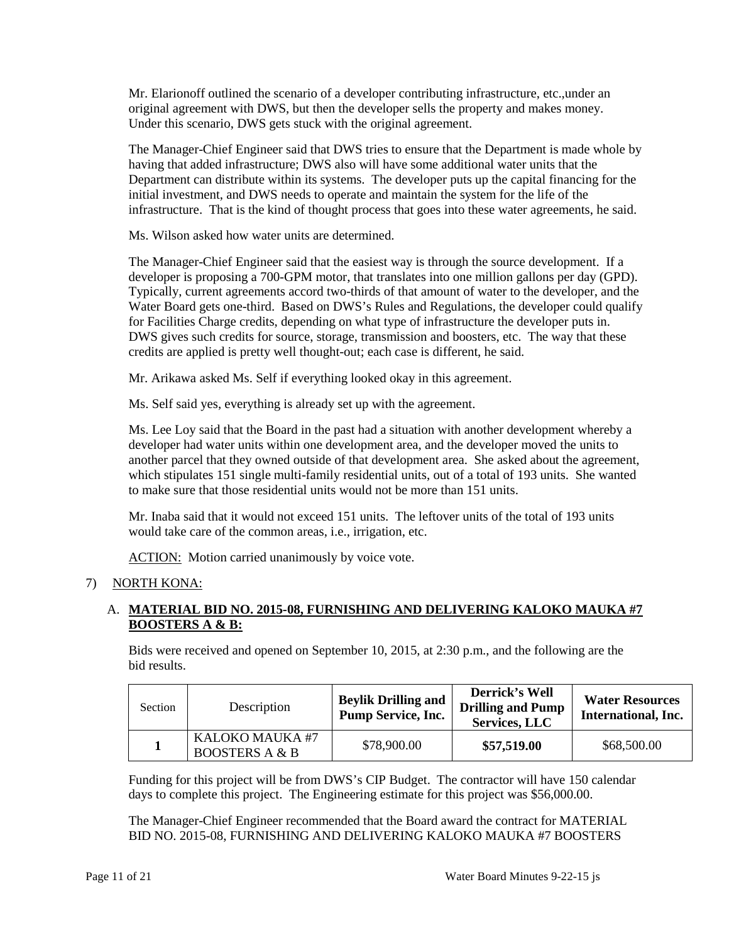original agreement with DWS, but then the developer sells the property and makes money. Mr. Elarionoff outlined the scenario of a developer contributing infrastructure, etc.,under an Under this scenario, DWS gets stuck with the original agreement.

 The Manager-Chief Engineer said that DWS tries to ensure that the Department is made whole by infrastructure. That is the kind of thought process that goes into these water agreements, he said. having that added infrastructure; DWS also will have some additional water units that the Department can distribute within its systems. The developer puts up the capital financing for the initial investment, and DWS needs to operate and maintain the system for the life of the

Ms. Wilson asked how water units are determined.

 for Facilities Charge credits, depending on what type of infrastructure the developer puts in. DWS gives such credits for source, storage, transmission and boosters, etc. The way that these The Manager-Chief Engineer said that the easiest way is through the source development. If a developer is proposing a 700-GPM motor, that translates into one million gallons per day (GPD). Typically, current agreements accord two-thirds of that amount of water to the developer, and the Water Board gets one-third. Based on DWS's Rules and Regulations, the developer could qualify credits are applied is pretty well thought-out; each case is different, he said.

Mr. Arikawa asked Ms. Self if everything looked okay in this agreement.

Ms. Self said yes, everything is already set up with the agreement.

 Ms. Lee Loy said that the Board in the past had a situation with another development whereby a another parcel that they owned outside of that development area. She asked about the agreement, developer had water units within one development area, and the developer moved the units to which stipulates 151 single multi-family residential units, out of a total of 193 units. She wanted to make sure that those residential units would not be more than 151 units.

Mr. Inaba said that it would not exceed 151 units. The leftover units of the total of 193 units would take care of the common areas, i.e., irrigation, etc.

ACTION: Motion carried unanimously by voice vote.

# 7) NORTH KONA:

# A. **MATERIAL BID NO. 2015-08, FURNISHING AND DELIVERING KALOKO MAUKA #7 BOOSTERS A & B:**

Bids were received and opened on September 10, 2015, at 2:30 p.m., and the following are the bid results.

| Section | Description                                  | <b>Beylik Drilling and</b><br><b>Pump Service, Inc.</b> | <b>Derrick's Well</b><br><b>Drilling and Pump</b><br><b>Services, LLC</b> | <b>Water Resources</b><br>International, Inc. |
|---------|----------------------------------------------|---------------------------------------------------------|---------------------------------------------------------------------------|-----------------------------------------------|
|         | KALOKO MAUKA #7<br><b>BOOSTERS A &amp; B</b> | \$78,900.00                                             | \$57,519.00                                                               | \$68,500.00                                   |

Funding for this project will be from DWS's CIP Budget. The contractor will have 150 calendar days to complete this project. The Engineering estimate for this project was \$56,000.00.

The Manager-Chief Engineer recommended that the Board award the contract for MATERIAL BID NO. 2015-08, FURNISHING AND DELIVERING KALOKO MAUKA #7 BOOSTERS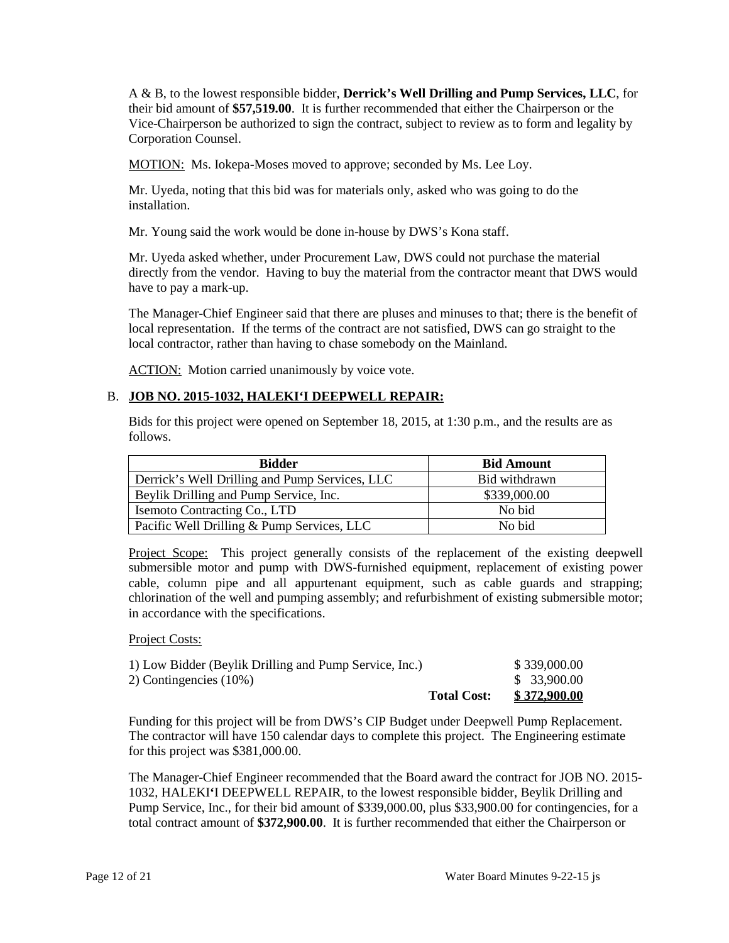Vice-Chairperson be authorized to sign the contract, subject to review as to form and legality by A & B, to the lowest responsible bidder, **Derrick's Well Drilling and Pump Services, LLC**, for their bid amount of **\$57,519.00**. It is further recommended that either the Chairperson or the Corporation Counsel.

MOTION: Ms. Iokepa-Moses moved to approve; seconded by Ms. Lee Loy.

 Mr. Uyeda, noting that this bid was for materials only, asked who was going to do the installation.

Mr. Young said the work would be done in-house by DWS's Kona staff.

Mr. Uyeda asked whether, under Procurement Law, DWS could not purchase the material directly from the vendor. Having to buy the material from the contractor meant that DWS would have to pay a mark-up.

 The Manager-Chief Engineer said that there are pluses and minuses to that; there is the benefit of local representation. If the terms of the contract are not satisfied, DWS can go straight to the local contractor, rather than having to chase somebody on the Mainland.

ACTION: Motion carried unanimously by voice vote.

## B. **JOB NO. 2015-1032, HALEKI'I DEEPWELL REPAIR:**

 Bids for this project were opened on September 18, 2015, at 1:30 p.m., and the results are as follows.

| <b>Bidder</b>                                  | <b>Bid Amount</b> |
|------------------------------------------------|-------------------|
| Derrick's Well Drilling and Pump Services, LLC | Bid withdrawn     |
| Beylik Drilling and Pump Service, Inc.         | \$339,000.00      |
| Isemoto Contracting Co., LTD                   | No bid            |
| Pacific Well Drilling & Pump Services, LLC     | No bid            |

Project Scope: This project generally consists of the replacement of the existing deepwell submersible motor and pump with DWS-furnished equipment, replacement of existing power cable, column pipe and all appurtenant equipment, such as cable guards and strapping; chlorination of the well and pumping assembly; and refurbishment of existing submersible motor; in accordance with the specifications.

#### Project Costs:

|                                                        | <b>Total Cost:</b> | \$372,900.00 |
|--------------------------------------------------------|--------------------|--------------|
| 2) Contingencies $(10\%)$                              |                    | \$ 33,900.00 |
| 1) Low Bidder (Beylik Drilling and Pump Service, Inc.) |                    | \$339,000.00 |

 The contractor will have 150 calendar days to complete this project. The Engineering estimate Funding for this project will be from DWS's CIP Budget under Deepwell Pump Replacement. for this project was \$381,000.00.

The Manager-Chief Engineer recommended that the Board award the contract for JOB NO. 2015 1032, HALEKI**'**I DEEPWELL REPAIR, to the lowest responsible bidder, Beylik Drilling and Pump Service, Inc., for their bid amount of \$339,000.00, plus \$33,900.00 for contingencies, for a total contract amount of **\$372,900.00**. It is further recommended that either the Chairperson or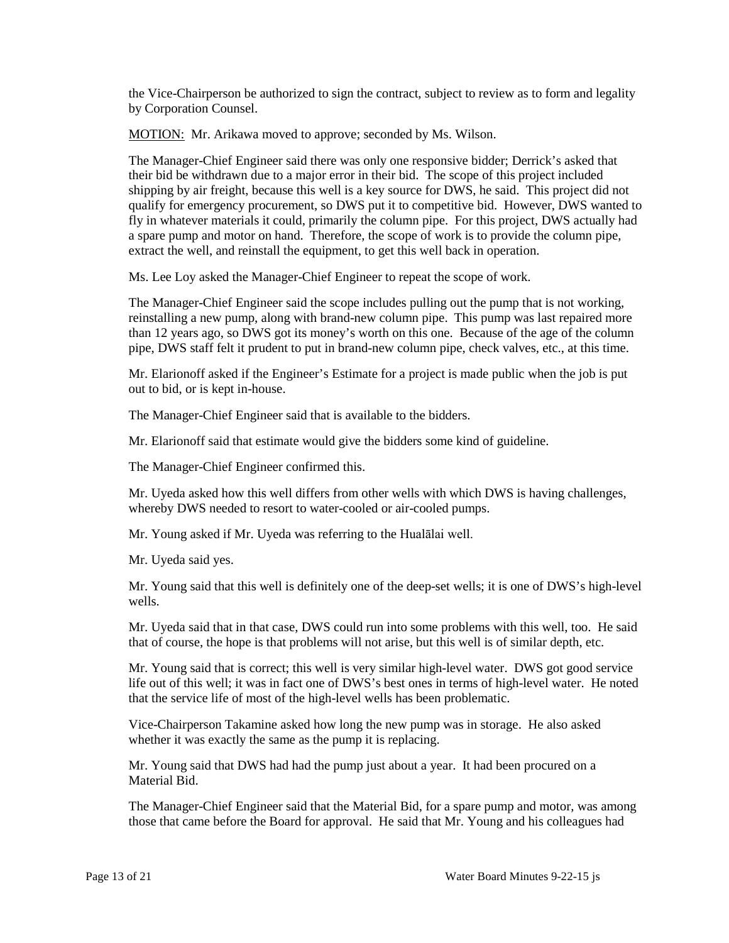the Vice-Chairperson be authorized to sign the contract, subject to review as to form and legality by Corporation Counsel.

MOTION: Mr. Arikawa moved to approve; seconded by Ms. Wilson.

 their bid be withdrawn due to a major error in their bid. The scope of this project included shipping by air freight, because this well is a key source for DWS, he said. This project did not fly in whatever materials it could, primarily the column pipe. For this project, DWS actually had a spare pump and motor on hand. Therefore, the scope of work is to provide the column pipe, extract the well, and reinstall the equipment, to get this well back in operation. The Manager-Chief Engineer said there was only one responsive bidder; Derrick's asked that qualify for emergency procurement, so DWS put it to competitive bid. However, DWS wanted to

Ms. Lee Loy asked the Manager-Chief Engineer to repeat the scope of work.

 The Manager-Chief Engineer said the scope includes pulling out the pump that is not working, reinstalling a new pump, along with brand-new column pipe. This pump was last repaired more than 12 years ago, so DWS got its money's worth on this one. Because of the age of the column pipe, DWS staff felt it prudent to put in brand-new column pipe, check valves, etc., at this time.

 Mr. Elarionoff asked if the Engineer's Estimate for a project is made public when the job is put out to bid, or is kept in-house.

The Manager-Chief Engineer said that is available to the bidders.

Mr. Elarionoff said that estimate would give the bidders some kind of guideline.

The Manager-Chief Engineer confirmed this.

Mr. Uyeda asked how this well differs from other wells with which DWS is having challenges, whereby DWS needed to resort to water-cooled or air-cooled pumps.

Mr. Young asked if Mr. Uyeda was referring to the Hualālai well.

Mr. Uyeda said yes.

Mr. Young said that this well is definitely one of the deep-set wells; it is one of DWS's high-level wells.

 Mr. Uyeda said that in that case, DWS could run into some problems with this well, too. He said that of course, the hope is that problems will not arise, but this well is of similar depth, etc.

Mr. Young said that is correct; this well is very similar high-level water. DWS got good service life out of this well; it was in fact one of DWS's best ones in terms of high-level water. He noted that the service life of most of the high-level wells has been problematic.

Vice-Chairperson Takamine asked how long the new pump was in storage. He also asked whether it was exactly the same as the pump it is replacing.

Mr. Young said that DWS had had the pump just about a year. It had been procured on a Material Bid.

 those that came before the Board for approval. He said that Mr. Young and his colleagues had The Manager-Chief Engineer said that the Material Bid, for a spare pump and motor, was among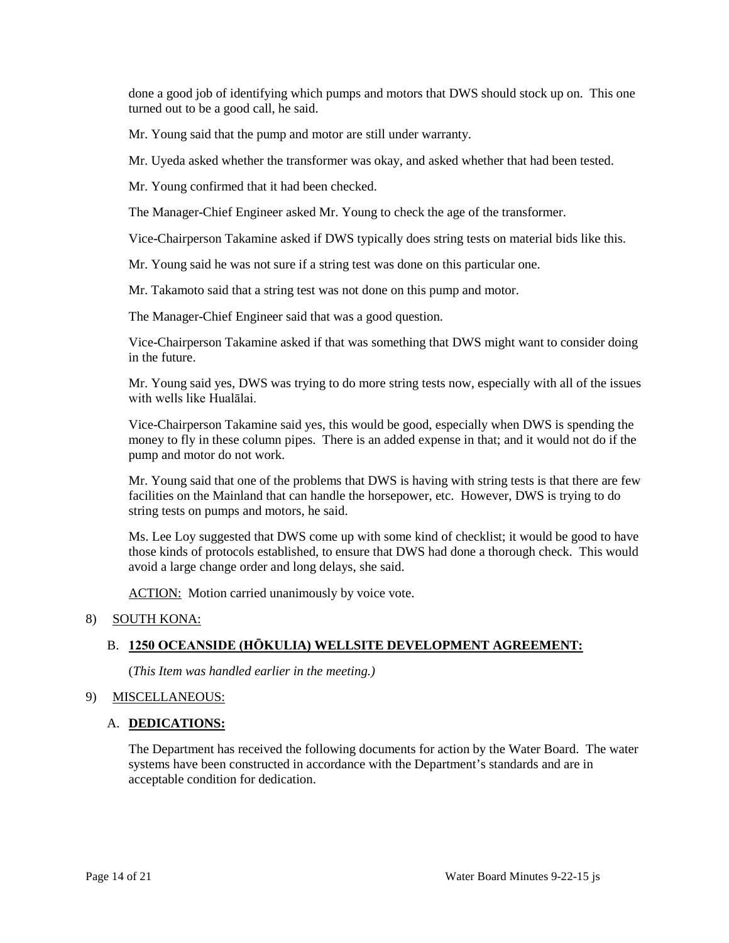done a good job of identifying which pumps and motors that DWS should stock up on. This one turned out to be a good call, he said.

Mr. Young said that the pump and motor are still under warranty.

Mr. Uyeda asked whether the transformer was okay, and asked whether that had been tested.

Mr. Young confirmed that it had been checked.

The Manager-Chief Engineer asked Mr. Young to check the age of the transformer.

Vice-Chairperson Takamine asked if DWS typically does string tests on material bids like this.

Mr. Young said he was not sure if a string test was done on this particular one.

Mr. Takamoto said that a string test was not done on this pump and motor.

The Manager-Chief Engineer said that was a good question.

Vice-Chairperson Takamine asked if that was something that DWS might want to consider doing in the future.

 with wells like Hualālai. Mr. Young said yes, DWS was trying to do more string tests now, especially with all of the issues

 money to fly in these column pipes. There is an added expense in that; and it would not do if the Vice-Chairperson Takamine said yes, this would be good, especially when DWS is spending the pump and motor do not work.

 Mr. Young said that one of the problems that DWS is having with string tests is that there are few facilities on the Mainland that can handle the horsepower, etc. However, DWS is trying to do string tests on pumps and motors, he said.

Ms. Lee Loy suggested that DWS come up with some kind of checklist; it would be good to have those kinds of protocols established, to ensure that DWS had done a thorough check. This would avoid a large change order and long delays, she said.

ACTION: Motion carried unanimously by voice vote.

#### 8) SOUTH KONA:

## B. **1250 OCEANSIDE (HŌKULIA) WELLSITE DEVELOPMENT AGREEMENT:**

(*This Item was handled earlier in the meeting.)* 

## 9) MISCELLANEOUS:

## A. **DEDICATIONS:**

 The Department has received the following documents for action by the Water Board. The water systems have been constructed in accordance with the Department's standards and are in acceptable condition for dedication.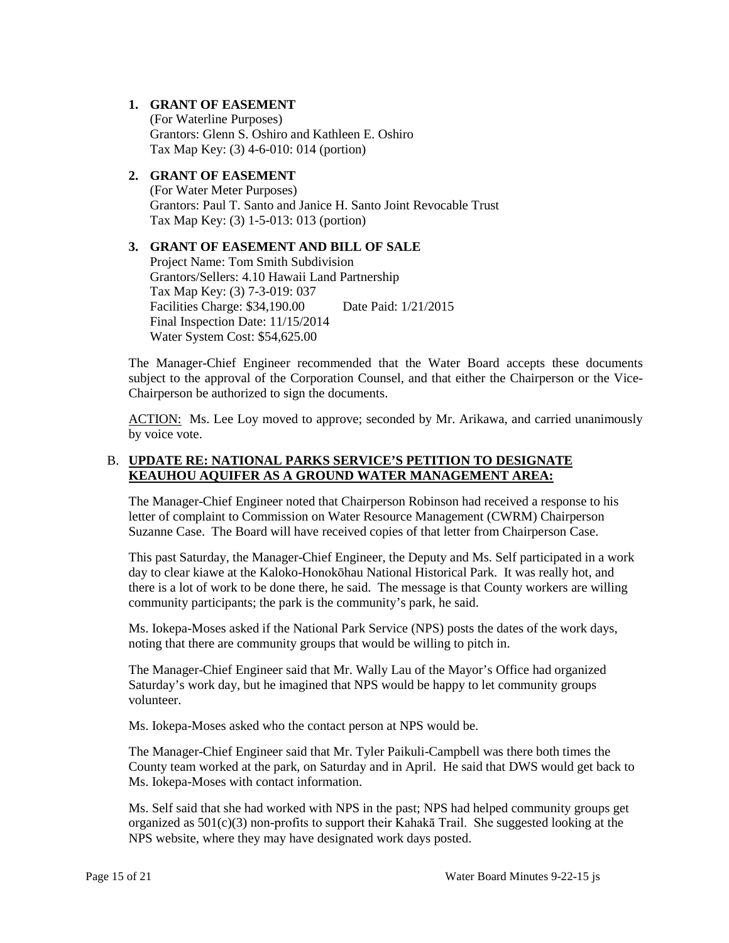## **1. GRANT OF EASEMENT**

(For Waterline Purposes) Grantors: Glenn S. Oshiro and Kathleen E. Oshiro Tax Map Key: (3) 4-6-010: 014 (portion)

## **2. GRANT OF EASEMENT**

 Grantors: Paul T. Santo and Janice H. Santo Joint Revocable Trust (For Water Meter Purposes) Tax Map Key: (3) 1-5-013: 013 (portion)

## **3. GRANT OF EASEMENT AND BILL OF SALE**

 Final Inspection Date: 11/15/2014 Project Name: Tom Smith Subdivision Grantors/Sellers: 4.10 Hawaii Land Partnership Tax Map Key: (3) 7-3-019: 037 Facilities Charge: \$34,190.00 Date Paid: 1/21/2015 Water System Cost: \$54,625.00

 The Manager-Chief Engineer recommended that the Water Board accepts these documents subject to the approval of the Corporation Counsel, and that either the Chairperson or the Vice-Chairperson be authorized to sign the documents.

ACTION: Ms. Lee Loy moved to approve; seconded by Mr. Arikawa, and carried unanimously by voice vote.

## B. **UPDATE RE: NATIONAL PARKS SERVICE'S PETITION TO DESIGNATE KEAUHOU AQUIFER AS A GROUND WATER MANAGEMENT AREA:**

 The Manager-Chief Engineer noted that Chairperson Robinson had received a response to his Suzanne Case. The Board will have received copies of that letter from Chairperson Case. letter of complaint to Commission on Water Resource Management (CWRM) Chairperson

 This past Saturday, the Manager-Chief Engineer, the Deputy and Ms. Self participated in a work there is a lot of work to be done there, he said. The message is that County workers are willing day to clear kiawe at the Kaloko-Honokōhau National Historical Park. It was really hot, and community participants; the park is the community's park, he said.

 Ms. Iokepa-Moses asked if the National Park Service (NPS) posts the dates of the work days, noting that there are community groups that would be willing to pitch in.

The Manager-Chief Engineer said that Mr. Wally Lau of the Mayor's Office had organized Saturday's work day, but he imagined that NPS would be happy to let community groups volunteer.

Ms. Iokepa-Moses asked who the contact person at NPS would be.

 The Manager-Chief Engineer said that Mr. Tyler Paikuli-Campbell was there both times the County team worked at the park, on Saturday and in April. He said that DWS would get back to Ms. Iokepa-Moses with contact information.

 Ms. Self said that she had worked with NPS in the past; NPS had helped community groups get organized as 501(c)(3) non-profits to support their Kahakā Trail. She suggested looking at the NPS website, where they may have designated work days posted.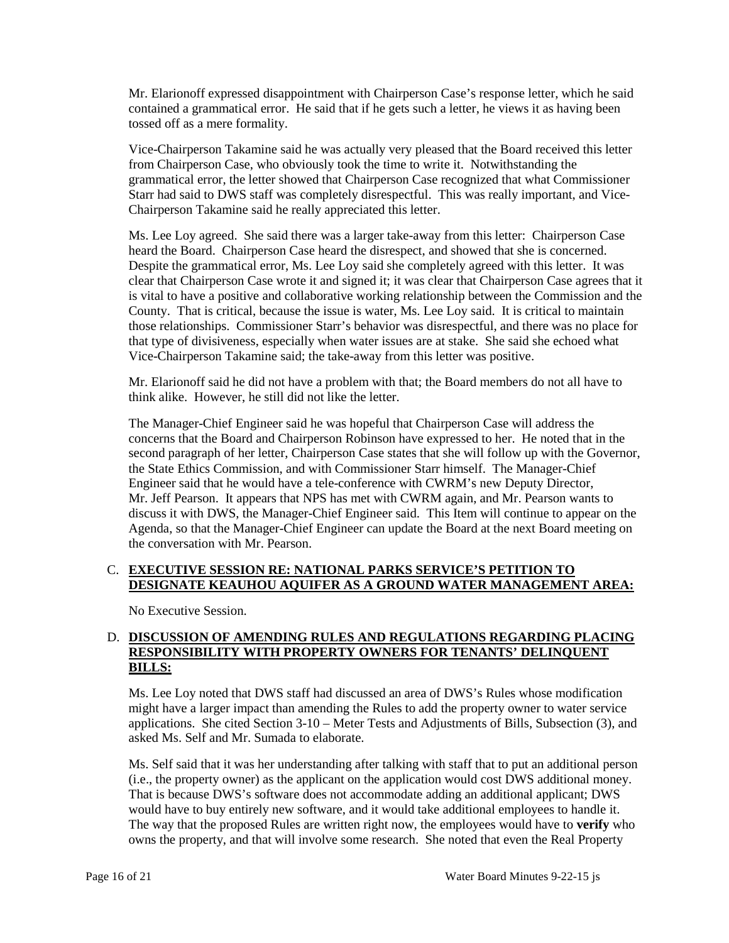Mr. Elarionoff expressed disappointment with Chairperson Case's response letter, which he said contained a grammatical error. He said that if he gets such a letter, he views it as having been tossed off as a mere formality.

 Vice-Chairperson Takamine said he was actually very pleased that the Board received this letter from Chairperson Case, who obviously took the time to write it. Notwithstanding the grammatical error, the letter showed that Chairperson Case recognized that what Commissioner Starr had said to DWS staff was completely disrespectful. This was really important, and Vice-Chairperson Takamine said he really appreciated this letter.

 Ms. Lee Loy agreed. She said there was a larger take-away from this letter: Chairperson Case heard the Board. Chairperson Case heard the disrespect, and showed that she is concerned. clear that Chairperson Case wrote it and signed it; it was clear that Chairperson Case agrees that it Despite the grammatical error, Ms. Lee Loy said she completely agreed with this letter. It was is vital to have a positive and collaborative working relationship between the Commission and the County. That is critical, because the issue is water, Ms. Lee Loy said. It is critical to maintain those relationships. Commissioner Starr's behavior was disrespectful, and there was no place for that type of divisiveness, especially when water issues are at stake. She said she echoed what Vice-Chairperson Takamine said; the take-away from this letter was positive.

 Mr. Elarionoff said he did not have a problem with that; the Board members do not all have to think alike. However, he still did not like the letter.

 the State Ethics Commission, and with Commissioner Starr himself. The Manager-Chief Mr. Jeff Pearson. It appears that NPS has met with CWRM again, and Mr. Pearson wants to Agenda, so that the Manager-Chief Engineer can update the Board at the next Board meeting on The Manager-Chief Engineer said he was hopeful that Chairperson Case will address the concerns that the Board and Chairperson Robinson have expressed to her. He noted that in the second paragraph of her letter, Chairperson Case states that she will follow up with the Governor, Engineer said that he would have a tele-conference with CWRM's new Deputy Director, discuss it with DWS, the Manager-Chief Engineer said. This Item will continue to appear on the the conversation with Mr. Pearson.

# C. **EXECUTIVE SESSION RE: NATIONAL PARKS SERVICE'S PETITION TO DESIGNATE KEAUHOU AQUIFER AS A GROUND WATER MANAGEMENT AREA:**

No Executive Session.

# D. **DISCUSSION OF AMENDING RULES AND REGULATIONS REGARDING PLACING RESPONSIBILITY WITH PROPERTY OWNERS FOR TENANTS' DELINQUENT BILLS:**

 Ms. Lee Loy noted that DWS staff had discussed an area of DWS's Rules whose modification might have a larger impact than amending the Rules to add the property owner to water service applications. She cited Section 3-10 – Meter Tests and Adjustments of Bills, Subsection (3), and asked Ms. Self and Mr. Sumada to elaborate.

 Ms. Self said that it was her understanding after talking with staff that to put an additional person owns the property, and that will involve some research. She noted that even the Real Property (i.e., the property owner) as the applicant on the application would cost DWS additional money. That is because DWS's software does not accommodate adding an additional applicant; DWS would have to buy entirely new software, and it would take additional employees to handle it. The way that the proposed Rules are written right now, the employees would have to **verify** who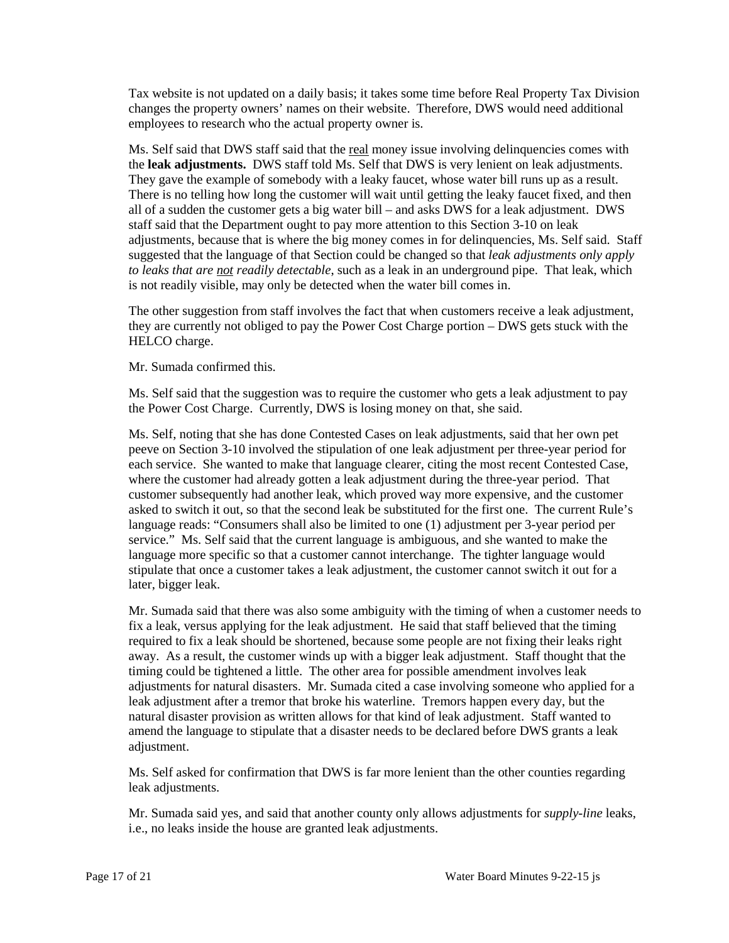Tax website is not updated on a daily basis; it takes some time before Real Property Tax Division changes the property owners' names on their website. Therefore, DWS would need additional employees to research who the actual property owner is.

Ms. Self said that DWS staff said that the real money issue involving delinquencies comes with the leak adjustments. DWS staff told Ms. Self that DWS is very lenient on leak adjustments. the **leak adjustments.** DWS staff told Ms. Self that DWS is very lenient on leak adjustments. They gave the example of somebody with a leaky faucet, whose water bill runs up as a result. all of a sudden the customer gets a big water bill – and asks DWS for a leak adjustment. DWS staff said that the Department ought to pay more attention to this Section 3-10 on leak adjustments, because that is where the big money comes in for delinquencies, Ms. Self said. Staff  suggested that the language of that Section could be changed so that *leak adjustments only apply to leaks that are not readily detectable*, such as a leak in an underground pipe. That leak, which There is no telling how long the customer will wait until getting the leaky faucet fixed, and then is not readily visible, may only be detected when the water bill comes in.

 The other suggestion from staff involves the fact that when customers receive a leak adjustment, they are currently not obliged to pay the Power Cost Charge portion – DWS gets stuck with the HELCO charge.

Mr. Sumada confirmed this.

 Ms. Self said that the suggestion was to require the customer who gets a leak adjustment to pay the Power Cost Charge. Currently, DWS is losing money on that, she said.

 asked to switch it out, so that the second leak be substituted for the first one. The current Rule's language reads: "Consumers shall also be limited to one (1) adjustment per 3-year period per language more specific so that a customer cannot interchange. The tighter language would stipulate that once a customer takes a leak adjustment, the customer cannot switch it out for a Ms. Self, noting that she has done Contested Cases on leak adjustments, said that her own pet peeve on Section 3-10 involved the stipulation of one leak adjustment per three-year period for each service. She wanted to make that language clearer, citing the most recent Contested Case, where the customer had already gotten a leak adjustment during the three-year period. That customer subsequently had another leak, which proved way more expensive, and the customer service." Ms. Self said that the current language is ambiguous, and she wanted to make the later, bigger leak.

 fix a leak, versus applying for the leak adjustment. He said that staff believed that the timing required to fix a leak should be shortened, because some people are not fixing their leaks right timing could be tightened a little. The other area for possible amendment involves leak adjustments for natural disasters. Mr. Sumada cited a case involving someone who applied for a leak adjustment after a tremor that broke his waterline. Tremors happen every day, but the Mr. Sumada said that there was also some ambiguity with the timing of when a customer needs to away. As a result, the customer winds up with a bigger leak adjustment. Staff thought that the natural disaster provision as written allows for that kind of leak adjustment. Staff wanted to amend the language to stipulate that a disaster needs to be declared before DWS grants a leak adjustment.

Ms. Self asked for confirmation that DWS is far more lenient than the other counties regarding leak adjustments.

 Mr. Sumada said yes, and said that another county only allows adjustments for *supply-line* leaks, i.e., no leaks inside the house are granted leak adjustments.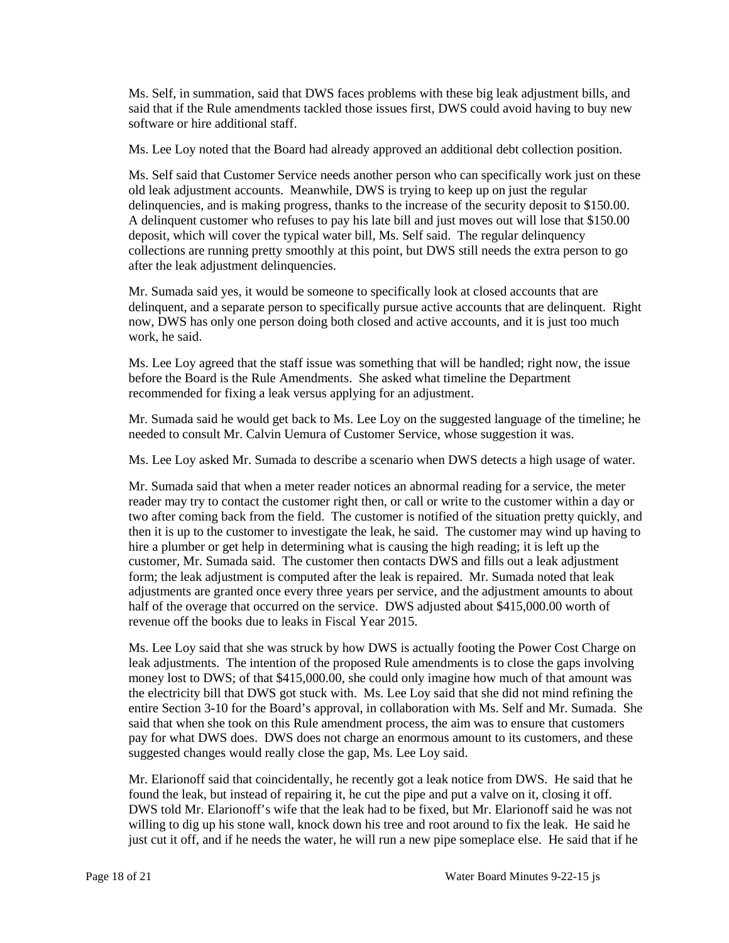said that if the Rule amendments tackled those issues first, DWS could avoid having to buy new Ms. Self, in summation, said that DWS faces problems with these big leak adjustment bills, and software or hire additional staff.

Ms. Lee Loy noted that the Board had already approved an additional debt collection position.

 old leak adjustment accounts. Meanwhile, DWS is trying to keep up on just the regular A delinquent customer who refuses to pay his late bill and just moves out will lose that \$150.00 deposit, which will cover the typical water bill, Ms. Self said. The regular delinquency after the leak adjustment delinquencies. Ms. Self said that Customer Service needs another person who can specifically work just on these delinquencies, and is making progress, thanks to the increase of the security deposit to \$150.00. collections are running pretty smoothly at this point, but DWS still needs the extra person to go

 Mr. Sumada said yes, it would be someone to specifically look at closed accounts that are delinquent, and a separate person to specifically pursue active accounts that are delinquent. Right now, DWS has only one person doing both closed and active accounts, and it is just too much work, he said.

 before the Board is the Rule Amendments. She asked what timeline the Department Ms. Lee Loy agreed that the staff issue was something that will be handled; right now, the issue recommended for fixing a leak versus applying for an adjustment.

Mr. Sumada said he would get back to Ms. Lee Loy on the suggested language of the timeline; he needed to consult Mr. Calvin Uemura of Customer Service, whose suggestion it was.

Ms. Lee Loy asked Mr. Sumada to describe a scenario when DWS detects a high usage of water.

 reader may try to contact the customer right then, or call or write to the customer within a day or two after coming back from the field. The customer is notified of the situation pretty quickly, and then it is up to the customer to investigate the leak, he said. The customer may wind up having to hire a plumber or get help in determining what is causing the high reading; it is left up the customer, Mr. Sumada said. The customer then contacts DWS and fills out a leak adjustment half of the overage that occurred on the service. DWS adjusted about \$415,000.00 worth of revenue off the books due to leaks in Fiscal Year 2015. Mr. Sumada said that when a meter reader notices an abnormal reading for a service, the meter form; the leak adjustment is computed after the leak is repaired. Mr. Sumada noted that leak adjustments are granted once every three years per service, and the adjustment amounts to about

 entire Section 3-10 for the Board's approval, in collaboration with Ms. Self and Mr. Sumada. She Ms. Lee Loy said that she was struck by how DWS is actually footing the Power Cost Charge on leak adjustments. The intention of the proposed Rule amendments is to close the gaps involving money lost to DWS; of that \$415,000.00, she could only imagine how much of that amount was the electricity bill that DWS got stuck with. Ms. Lee Loy said that she did not mind refining the said that when she took on this Rule amendment process, the aim was to ensure that customers pay for what DWS does. DWS does not charge an enormous amount to its customers, and these suggested changes would really close the gap, Ms. Lee Loy said.

 DWS told Mr. Elarionoff's wife that the leak had to be fixed, but Mr. Elarionoff said he was not just cut it off, and if he needs the water, he will run a new pipe someplace else. He said that if he Mr. Elarionoff said that coincidentally, he recently got a leak notice from DWS. He said that he found the leak, but instead of repairing it, he cut the pipe and put a valve on it, closing it off. willing to dig up his stone wall, knock down his tree and root around to fix the leak. He said he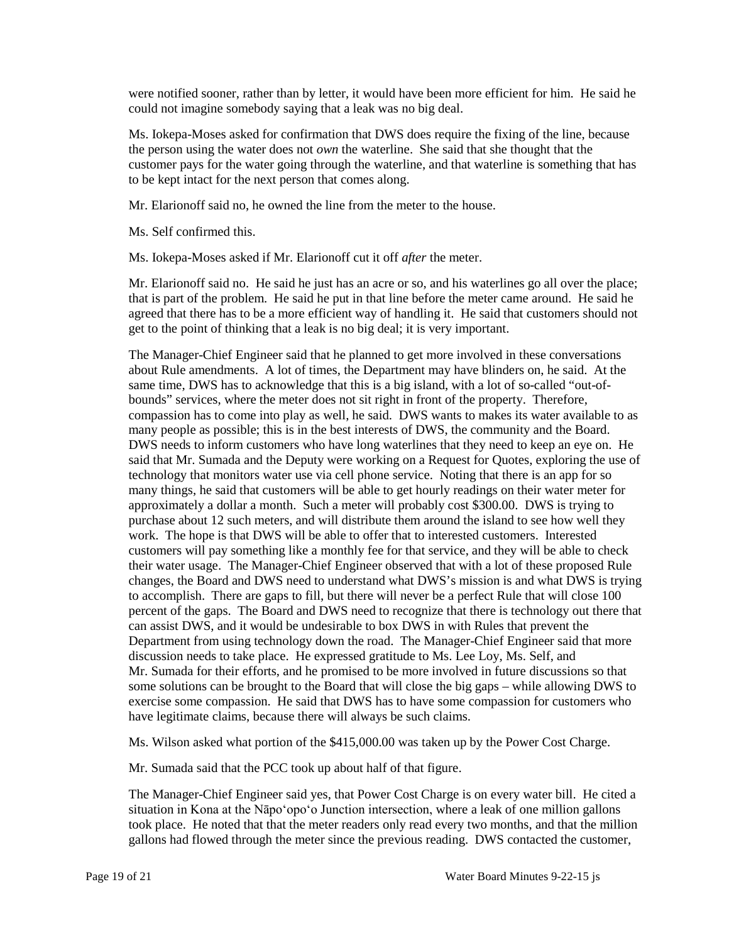could not imagine somebody saying that a leak was no big deal. were notified sooner, rather than by letter, it would have been more efficient for him. He said he

 the person using the water does not *own* the waterline. She said that she thought that the to be kept intact for the next person that comes along. Ms. Iokepa-Moses asked for confirmation that DWS does require the fixing of the line, because customer pays for the water going through the waterline, and that waterline is something that has

Mr. Elarionoff said no, he owned the line from the meter to the house.

Ms. Self confirmed this.

Ms. Iokepa-Moses asked if Mr. Elarionoff cut it off *after* the meter.

 Mr. Elarionoff said no. He said he just has an acre or so, and his waterlines go all over the place; that is part of the problem. He said he put in that line before the meter came around. He said he get to the point of thinking that a leak is no big deal; it is very important. agreed that there has to be a more efficient way of handling it. He said that customers should not

 about Rule amendments. A lot of times, the Department may have blinders on, he said. At the bounds" services, where the meter does not sit right in front of the property. Therefore, technology that monitors water use via cell phone service. Noting that there is an app for so purchase about 12 such meters, and will distribute them around the island to see how well they work. The hope is that DWS will be able to offer that to interested customers. Interested their water usage. The Manager-Chief Engineer observed that with a lot of these proposed Rule changes, the Board and DWS need to understand what DWS's mission is and what DWS is trying percent of the gaps. The Board and DWS need to recognize that there is technology out there that can assist DWS, and it would be undesirable to box DWS in with Rules that prevent the Department from using technology down the road. The Manager-Chief Engineer said that more The Manager-Chief Engineer said that he planned to get more involved in these conversations same time, DWS has to acknowledge that this is a big island, with a lot of so-called "out-ofcompassion has to come into play as well, he said. DWS wants to makes its water available to as many people as possible; this is in the best interests of DWS, the community and the Board. DWS needs to inform customers who have long waterlines that they need to keep an eye on. He said that Mr. Sumada and the Deputy were working on a Request for Quotes, exploring the use of many things, he said that customers will be able to get hourly readings on their water meter for approximately a dollar a month. Such a meter will probably cost \$300.00. DWS is trying to customers will pay something like a monthly fee for that service, and they will be able to check to accomplish. There are gaps to fill, but there will never be a perfect Rule that will close 100 discussion needs to take place. He expressed gratitude to Ms. Lee Loy, Ms. Self, and Mr. Sumada for their efforts, and he promised to be more involved in future discussions so that some solutions can be brought to the Board that will close the big gaps – while allowing DWS to exercise some compassion. He said that DWS has to have some compassion for customers who have legitimate claims, because there will always be such claims.

Ms. Wilson asked what portion of the \$415,000.00 was taken up by the Power Cost Charge.

Mr. Sumada said that the PCC took up about half of that figure.

 took place. He noted that that the meter readers only read every two months, and that the million gallons had flowed through the meter since the previous reading. DWS contacted the customer, The Manager-Chief Engineer said yes, that Power Cost Charge is on every water bill. He cited a situation in Kona at the Nāpo'opo'o Junction intersection, where a leak of one million gallons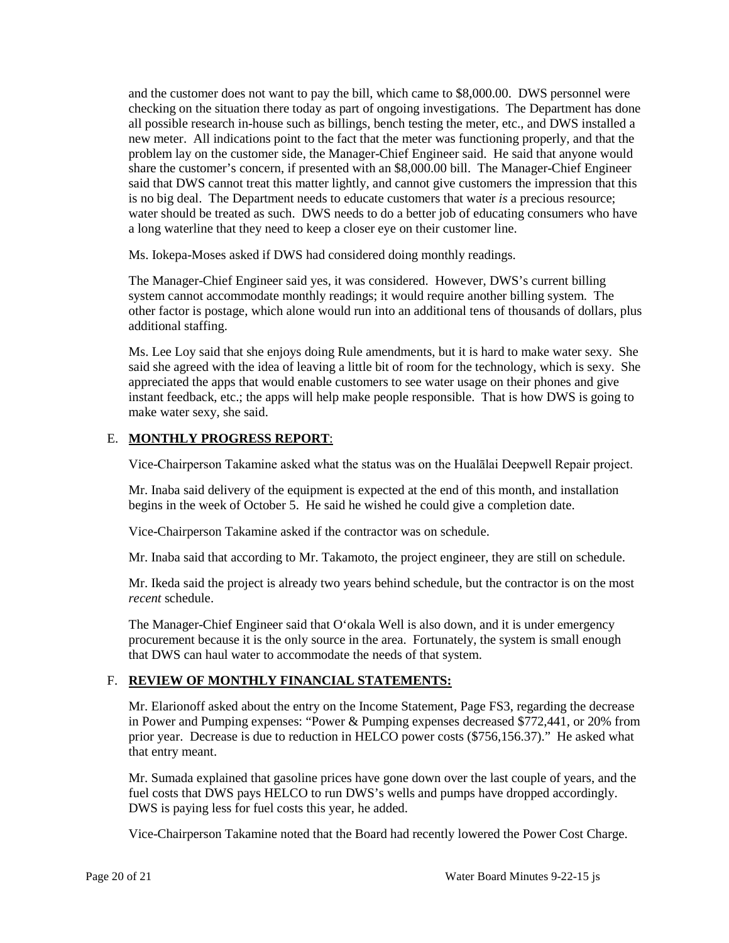new meter. All indications point to the fact that the meter was functioning properly, and that the said that DWS cannot treat this matter lightly, and cannot give customers the impression that this is no big deal. The Department needs to educate customers that water *is* a precious resource; water should be treated as such. DWS needs to do a better job of educating consumers who have a long waterline that they need to keep a closer eye on their customer line. and the customer does not want to pay the bill, which came to \$8,000.00. DWS personnel were checking on the situation there today as part of ongoing investigations. The Department has done all possible research in-house such as billings, bench testing the meter, etc., and DWS installed a problem lay on the customer side, the Manager-Chief Engineer said. He said that anyone would share the customer's concern, if presented with an \$8,000.00 bill. The Manager-Chief Engineer

Ms. Iokepa-Moses asked if DWS had considered doing monthly readings.

The Manager-Chief Engineer said yes, it was considered. However, DWS's current billing system cannot accommodate monthly readings; it would require another billing system. The other factor is postage, which alone would run into an additional tens of thousands of dollars, plus additional staffing.

 Ms. Lee Loy said that she enjoys doing Rule amendments, but it is hard to make water sexy. She said she agreed with the idea of leaving a little bit of room for the technology, which is sexy. She appreciated the apps that would enable customers to see water usage on their phones and give instant feedback, etc.; the apps will help make people responsible. That is how DWS is going to make water sexy, she said.

## E. **MONTHLY PROGRESS REPORT**:

Vice-Chairperson Takamine asked what the status was on the Hualālai Deepwell Repair project.

Mr. Inaba said delivery of the equipment is expected at the end of this month, and installation begins in the week of October 5. He said he wished he could give a completion date.

Vice-Chairperson Takamine asked if the contractor was on schedule.

Mr. Inaba said that according to Mr. Takamoto, the project engineer, they are still on schedule.

 Mr. Ikeda said the project is already two years behind schedule, but the contractor is on the most *recent* schedule.

 The Manager-Chief Engineer said that O'okala Well is also down, and it is under emergency procurement because it is the only source in the area. Fortunately, the system is small enough that DWS can haul water to accommodate the needs of that system.

## F. **REVIEW OF MONTHLY FINANCIAL STATEMENTS:**

 Mr. Elarionoff asked about the entry on the Income Statement, Page FS3, regarding the decrease prior year. Decrease is due to reduction in HELCO power costs (\$756,156.37)." He asked what in Power and Pumping expenses: "Power & Pumping expenses decreased \$772,441, or 20% from that entry meant.

 Mr. Sumada explained that gasoline prices have gone down over the last couple of years, and the fuel costs that DWS pays HELCO to run DWS's wells and pumps have dropped accordingly. DWS is paying less for fuel costs this year, he added.

Vice-Chairperson Takamine noted that the Board had recently lowered the Power Cost Charge.